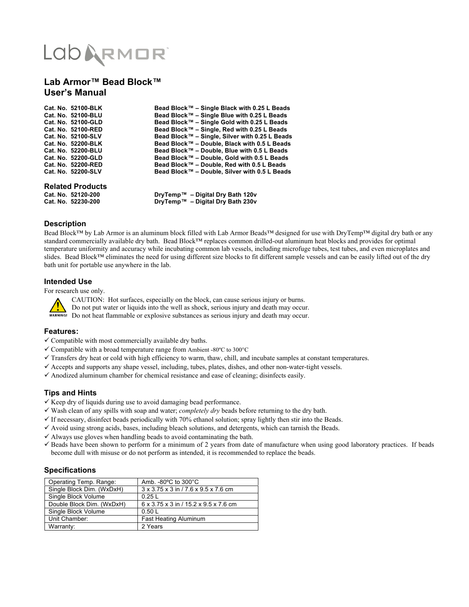# LODARMOR

### **Lab Armor™ Bead Block™ User's Manual**

| Cat. No. 52100-BLK        | Bead Block™ – Single Black with 0.25 L Beads   |
|---------------------------|------------------------------------------------|
| Cat. No. 52100-BLU        | Bead Block™ – Single Blue with 0.25 L Beads    |
| <b>Cat. No. 52100-GLD</b> | Bead Block™ – Single Gold with 0.25 L Beads    |
| Cat. No. 52100-RED        | Bead Block™ – Single, Red with 0.25 L Beads    |
| Cat. No. 52100-SLV        | Bead Block™ - Single, Silver with 0.25 L Beads |
| Cat. No. 52200-BLK        | Bead Block™ - Double, Black with 0.5 L Beads   |
| Cat. No. 52200-BLU        | Bead Block™ - Double, Blue with 0.5 L Beads    |
| <b>Cat. No. 52200-GLD</b> | Bead Block™ - Double, Gold with 0.5 L Beads    |
| Cat. No. 52200-RED        | Bead Block™ - Double, Red with 0.5 L Beads     |
| Cat. No. 52200-SLV        | Bead Block™ - Double, Silver with 0.5 L Beads  |
|                           |                                                |

## **Related Products**

**Cat. No. 52120-200 DryTemp™ – Digital Dry Bath 120v Cat. No. 52230-200 DryTemp™ – Digital Dry Bath 230v**

#### **Description**

Bead Block™ by Lab Armor is an aluminum block filled with Lab Armor Beads™ designed for use with DryTemp™ digital dry bath or any standard commercially available dry bath. Bead Block™ replaces common drilled-out aluminum heat blocks and provides for optimal temperature uniformity and accuracy while incubating common lab vessels, including microfuge tubes, test tubes, and even microplates and slides. Bead Block™ eliminates the need for using different size blocks to fit different sample vessels and can be easily lifted out of the dry bath unit for portable use anywhere in the lab.

#### **Intended Use**

For research use only.



CAUTION: Hot surfaces, especially on the block, can cause serious injury or burns.

Do not put water or liquids into the well as shock, serious injury and death may occur.

**WARNING!** Do not heat flammable or explosive substances as serious injury and death may occur.

#### **Features:**

- $\checkmark$  Compatible with most commercially available dry baths.
- $\checkmark$  Compatible with a broad temperature range from Ambient -80°C to 300°C
- $\checkmark$  Transfers dry heat or cold with high efficiency to warm, thaw, chill, and incubate samples at constant temperatures.
- Accepts and supports any shape vessel, including, tubes, plates, dishes, and other non-water-tight vessels.
- $\checkmark$  Anodized aluminum chamber for chemical resistance and ease of cleaning; disinfects easily.

#### **Tips and Hints**

- $\checkmark$  Keep dry of liquids during use to avoid damaging bead performance.
- Wash clean of any spills with soap and water; *completely dry* beads before returning to the dry bath.
- $\checkmark$  If necessary, disinfect beads periodically with 70% ethanol solution; spray lightly then stir into the Beads.
- $\checkmark$  Avoid using strong acids, bases, including bleach solutions, and detergents, which can tarnish the Beads.
- $\checkmark$  Always use gloves when handling beads to avoid contaminating the bath.
- $\checkmark$  Beads have been shown to perform for a minimum of 2 years from date of manufacture when using good laboratory practices. If beads become dull with misuse or do not perform as intended, it is recommended to replace the beads.

#### **Specifications**

| Operating Temp. Range:    | Amb. $-80^{\circ}$ C to $300^{\circ}$ C |
|---------------------------|-----------------------------------------|
| Single Block Dim. (WxDxH) | 3 x 3.75 x 3 in / 7.6 x 9.5 x 7.6 cm    |
| Single Block Volume       | 0.25L                                   |
| Double Block Dim. (WxDxH) | 6 x 3.75 x 3 in / 15.2 x 9.5 x 7.6 cm   |
| Single Block Volume       | 0.50L                                   |
| Unit Chamber:             | Fast Heating Aluminum                   |
| Warranty:                 | 2 Years                                 |